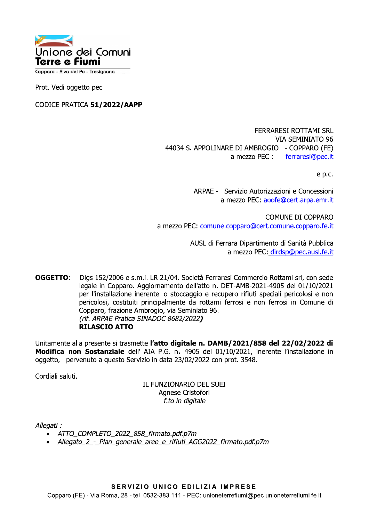

Copparo - Riva del Po - Tresignana

Prot. Vedi oggetto pec

CODICE PRATICA 51/2022/AAPP

**FERRARESI ROTTAMI SRL VIA SEMINIATO 96** 44034 S. APPOLINARE DI AMBROGIO - COPPARO (FE) ferraresi@pec.it a mezzo PEC :

e p.c.

ARPAE - Servizio Autorizzazioni e Concessioni a mezzo PEC: aoofe@cert.arpa.emr.it

COMUNE DI COPPARO a mezzo PEC: comune.copparo@cert.comune.copparo.fe.it

> AUSL di Ferrara Dipartimento di Sanità Pubblica a mezzo PEC: dirdsp@pec.ausl.fe.it

OGGETTO: Dlgs 152/2006 e s.m.i. LR 21/04. Società Ferraresi Commercio Rottami srl, con sede legale in Copparo. Aggiornamento dell'atto n. DET-AMB-2021-4905 del 01/10/2021 per l'installazione inerente lo stoccaggio e recupero rifiuti speciali pericolosi e non pericolosi, costituiti principalmente da rottami ferrosi e non ferrosi in Comune di Copparo, frazione Ambrogio, via Seminiato 96. (rif. ARPAE Pratica SINADOC 8682/2022) **RILASCIO ATTO** 

Unitamente alla presente si trasmette l'atto digitale n. DAMB/2021/858 del 22/02/2022 di Modifica non Sostanziale dell' AIA P.G. n. 4905 del 01/10/2021, inerente l'installazione in oggetto, pervenuto a questo Servizio in data 23/02/2022 con prot. 3548.

Cordiali saluti.

IL FUNZIONARIO DEL SUEI Agnese Cristofori f.to in digitale

Allegati :

- ATTO COMPLETO 2022 858 firmato.pdf.p7m  $\bullet$
- Allegato\_2\_-\_Plan\_generale\_aree\_e\_rifiuti\_AGG2022\_firmato.pdf.p7m

SERVIZIO UNICO EDILIZIA IMPRESE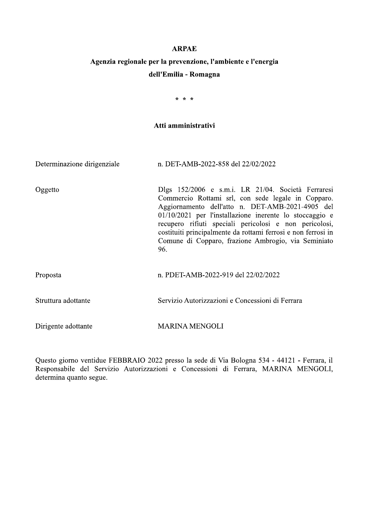# **ARPAE**

# Agenzia regionale per la prevenzione, l'ambiente e l'energia dell'Emilia - Romagna

 $* * *$ 

# Atti amministrativi

| Determinazione dirigenziale | n. DET-AMB-2022-858 del 22/02/2022                                                                                                                                                                                                                                                                                                                                                                                 |
|-----------------------------|--------------------------------------------------------------------------------------------------------------------------------------------------------------------------------------------------------------------------------------------------------------------------------------------------------------------------------------------------------------------------------------------------------------------|
| Oggetto                     | Dlgs 152/2006 e s.m.i. LR 21/04. Società Ferraresi<br>Commercio Rottami srl, con sede legale in Copparo.<br>Aggiornamento dell'atto n. DET-AMB-2021-4905 del<br>$01/10/2021$ per l'installazione inerente lo stoccaggio e<br>recupero rifiuti speciali pericolosi e non pericolosi,<br>costituiti principalmente da rottami ferrosi e non ferrosi in<br>Comune di Copparo, frazione Ambrogio, via Seminiato<br>96. |
| Proposta                    | n. PDET-AMB-2022-919 del 22/02/2022                                                                                                                                                                                                                                                                                                                                                                                |
| Struttura adottante         | Servizio Autorizzazioni e Concessioni di Ferrara                                                                                                                                                                                                                                                                                                                                                                   |
| Dirigente adottante         | <b>MARINA MENGOLI</b>                                                                                                                                                                                                                                                                                                                                                                                              |

Questo giorno ventidue FEBBRAIO 2022 presso la sede di Via Bologna 534 - 44121 - Ferrara, il Responsabile del Servizio Autorizzazioni e Concessioni di Ferrara, MARINA MENGOLI, determina quanto segue.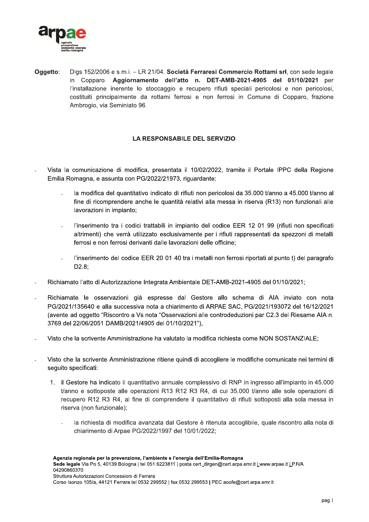

Oqqetto: Dlgs 152/2006 e s.m.i. - LR 21/04. Società Ferraresi Commercio Rottami srl, con sede legale in Copparo. Aggiornamento dell'atto n. DET-AMB-2021-4905 del 01/10/2021 per l'installazione inerente lo stoccaggio e recupero rifiuti speciali pericolosi e non pericolosi, costituiti principalmente da rottami ferrosi e non ferrosi in Comune di Copparo, frazione Ambrogio, via Seminiato 96.

# **LA RESPONSABILE DEL SERVIZIO**

- Vista la comunicazione di modifica, presentata il 10/02/2022, tramite il Portale IPPC della Regione Emilia Romagna, e assunta con PG/2022/21973, riguardante:
	- la modifica del quantitativo indicato di rifiuti non pericolosi da 35.000 t/anno a 45.000 t/anno al fine di ricomprendere anche le quantità relativi alla messa in riserva (R13) non funzionali alle lavorazioni in impianto;
	- l'inserimento tra i codici trattabili in impianto del codice EER 12 01 99 (rifiuti non specificati altrimenti) che verrà utilizzato esclusivamente per i rifiuti rappresentati da spezzoni di metalli ferrosi e non ferrosi derivanti dalle lavorazioni delle officine:
	- l'inserimento del codice EER 20 01 40 tra i metalli non ferrosi riportati al punto t) del paragrafo  $D2.8:$
- Richiamato l'atto di Autorizzazione Integrata Ambientale DET-AMB-2021-4905 del 01/10/2021:
- Richiamate le osservazioni già espresse dal Gestore allo schema di AIA inviato con nota PG/2021/135640 e alla successiva nota a chiarimento di ARPAE SAC, PG/2021/193072 del 16/12/2021 (avente ad oggetto "Riscontro a Vs nota "Osservazioni alle controdeduzioni par C2.3 del Riesame AIA n. 3769 del 22/06/2051 DAMB/2021/4905 del 01/10/2021"),
- Visto che la scrivente Amministrazione ha valutato la modifica richiesta come NON SOSTANZIALE:
- Visto che la scrivente Amministrazione ritiene quindi di accogliere le modifiche comunicate nei termini di seguito specificati:
	- 1. il Gestore ha indicato il quantitativo annuale complessivo di RNP in ingresso all'impianto in 45.000 t/anno e sottoposte alle operazioni R13 R12 R3 R4, di cui 35.000 t/anno alle sole operazioni di recupero R12 R3 R4, al fine di comprendere il quantitativo di rifiuti sottoposti alla sola messa in riserva (non funzionale);
		- la richiesta di modifica avanzata dal Gestore è ritenuta accoglibile, quale riscontro alla nota di chiarimento di Arpae PG/2022/1997 del 10/01/2022;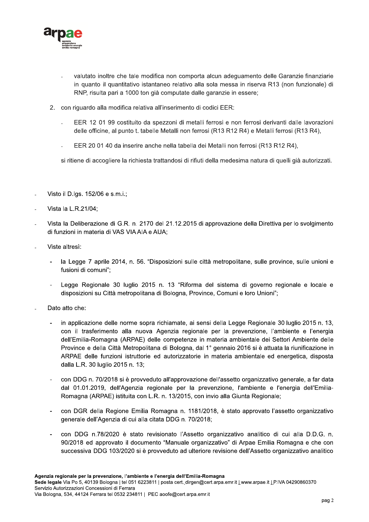

- valutato inoltre che tale modifica non comporta alcun adeguamento delle Garanzie finanziarie in quanto il quantitativo istantaneo relativo alla sola messa in riserva R13 (non funzionale) di RNP, risulta pari a 1000 ton già computate dalle garanzie in essere;
- 2. con riguardo alla modifica relativa all'inserimento di codici EER:
	- EER 12 01 99 costituito da spezzoni di metalli ferrosi e non ferrosi derivanti dalle lavorazioni delle officine, al punto t. tabelle Metalli non ferrosi (R13 R12 R4) e Metalli ferrosi (R13 R4),
	- EER 20 01 40 da inserire anche nella tabella dei Metalli non ferrosi (R13 R12 R4),

si ritiene di accogliere la richiesta trattandosi di rifiuti della medesima natura di quelli già autorizzati.

- Visto il D.lgs. 152/06 e s.m.i.;
- Vista la L.R.21/04:
- Vista la Deliberazione di G.R. n. 2170 del 21.12.2015 di approvazione della Direttiva per lo svolgimento di funzioni in materia di VAS VIA AIA e AUA:
- Viste altresi:
	- la Legge 7 aprile 2014, n. 56. "Disposizioni sulle città metropolitane, sulle province, sulle unioni e fusioni di comuni":
	- Legge Regionale 30 luglio 2015 n. 13 "Riforma del sistema di governo regionale e locale e disposizioni su Città metropolitana di Bologna, Province, Comuni e loro Unioni";
- Dato atto che:
	- in applicazione delle norme sopra richiamate, ai sensi della Legge Regionale 30 luglio 2015 n. 13, con il trasferimento alla nuova Agenzia regionale per la prevenzione, l'ambiente e l'energia dell'Emilia-Romagna (ARPAE) delle competenze in materia ambientale dei Settori Ambiente delle Province e della Città Metropolitana di Bologna, dal 1° gennaio 2016 si è attuata la riunificazione in ARPAE delle funzioni istruttorie ed autorizzatorie in materia ambientale ed energetica, disposta dalla L.R. 30 luglio 2015 n. 13;
	- con DDG n. 70/2018 si è provveduto all'approvazione dell'assetto organizzativo generale, a far data dal 01.01.2019, dell'Agenzia regionale per la prevenzione, l'ambiente e l'energia dell'Emilia-Romagna (ARPAE) istituita con L.R. n. 13/2015, con invio alla Giunta Regionale;
	- con DGR della Regione Emilia Romagna n. 1181/2018, è stato approvato l'assetto organizzativo generale dell'Agenzia di cui alla citata DDG n. 70/2018;
	- con DDG n.78/2020 è stato revisionato l'Assetto organizzativo analitico di cui alla D.D.G. n. 90/2018 ed approvato il documento "Manuale organizzativo" di Arpae Emilia Romagna e che con successiva DDG 103/2020 si è provveduto ad ulteriore revisione dell'Assetto organizzativo analitico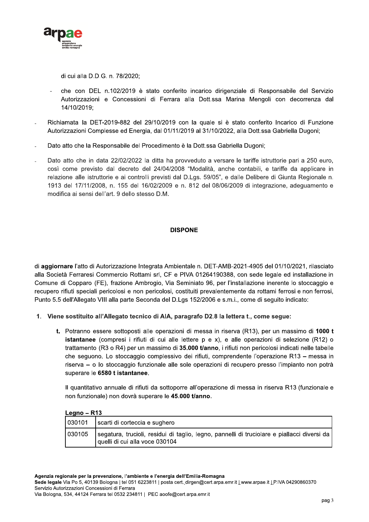

di cui alla D.D.G. n. 78/2020;

- che con DEL n.102/2019 è stato conferito incarico dirigenziale di Responsabile del Servizio Autorizzazioni e Concessioni di Ferrara alla Dott.ssa Marina Mengoli con decorrenza dal 14/10/2019:
- Richiamata la DET-2019-882 del 29/10/2019 con la quale si è stato conferito Incarico di Funzione Autorizzazioni Complesse ed Energia, dal 01/11/2019 al 31/10/2022, alla Dott.ssa Gabriella Dugoni;
- Dato atto che la Responsabile del Procedimento è la Dott.ssa Gabriella Dugoni;
- Dato atto che in data 22/02/2022 la ditta ha provveduto a versare le tariffe istruttorie pari a 250 euro, così come previsto dal decreto del 24/04/2008 "Modalità, anche contabili, e tariffe da applicare in relazione alle istruttorie e ai controlli previsti dal D.Lgs. 59/05", e dalle Delibere di Giunta Regionale n. 1913 del 17/11/2008, n. 155 del 16/02/2009 e n. 812 del 08/06/2009 di integrazione, adeguamento e modifica ai sensi dell'art. 9 dello stesso D.M.

# **DISPONE**

di aggiornare l'atto di Autorizzazione Integrata Ambientale n. DET-AMB-2021-4905 del 01/10/2021, rilasciato alla Società Ferraresi Commercio Rottami srl, CF e PIVA 01264190388, con sede legale ed installazione in Comune di Copparo (FE), frazione Ambrogio, Via Seminiato 96, per l'installazione inerente lo stoccaggio e recupero rifiuti speciali pericolosi e non pericolosi, costituiti prevalentemente da rottami ferrosi e non ferrosi, Punto 5.5 dell'Allegato VIII alla parte Seconda del D.Lgs 152/2006 e s.m.i., come di seguito indicato:

- 1. Viene sostituito all'Allegato tecnico di AIA, paragrafo D2.8 la lettera t., come segue:
	- t. Potranno essere sottoposti alle operazioni di messa in riserva (R13), per un massimo di 1000 t istantanee (compresi i rifiuti di cui alle lettere p e x), e alle operazioni di selezione (R12) o trattamento (R3 o R4) per un massimo di 35.000 t/anno, i rifiuti non pericolosi indicati nelle tabelle che seguono. Lo stoccaggio complessivo dei rifiuti, comprendente l'operazione R13 – messa in riserva – o lo stoccaggio funzionale alle sole operazioni di recupero presso l'impianto non potrà superare le 6580 t istantanee.

Il quantitativo annuale di rifiuti da sottoporre all'operazione di messa in riserva R13 (funzionale e non funzionale) non dovrà superare le 45.000 t/anno.

|        | Legno – $R13$                                                                                                                   |  |
|--------|---------------------------------------------------------------------------------------------------------------------------------|--|
| 030101 | scarti di corteccia e sughero                                                                                                   |  |
| 030105 | segatura, trucioli, residui di taglio, legno, pannelli di truciolare e piallacci diversi da  <br>quelli di cui alla voce 030104 |  |

Sede legale Via Po 5, 40139 Bologna | tel 051 6223811 | posta cert. dirgen@cert.arpa.emr.it Lwww.arpae.it LP.IVA 04290860370 Servizio Autorizzazioni Concessioni di Ferrara

Via Bologna, 534, 44124 Ferrara tel 0532 234811 | PEC aoofe@cert.arpa.emr.it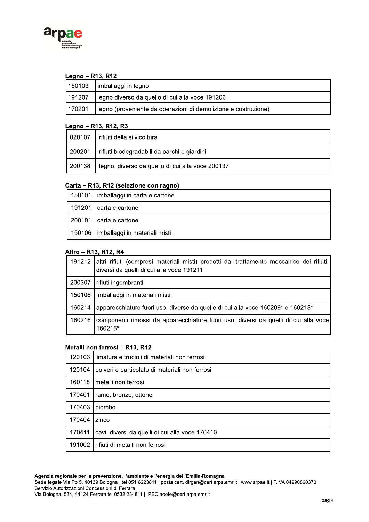

## Legno - R13, R12

|        | 150103   imballaggi in legno                                   |
|--------|----------------------------------------------------------------|
| 191207 | legno diverso da quello di cui alla voce 191206                |
| 170201 | legno (proveniente da operazioni di demolizione e costruzione) |

# Legno - R13, R12, R3

| 020107 | l rifiuti della silvicoltura                     |
|--------|--------------------------------------------------|
| 200201 | rifiuti biodegradabili da parchi e giardini      |
| 200138 | legno, diverso da quello di cui alla voce 200137 |

# Carta - R13, R12 (selezione con ragno)

| 150101   imballaggi in carta e cartone |
|----------------------------------------|
| 191201   carta e cartone               |
| 200101 carta e cartone                 |
| 150106   imballaggi in materiali misti |

# Altro - R13, R12, R4

|        | 191212 altri rifiuti (compresi materiali misti) prodotti dal trattamento meccanico dei rifiuti,<br>diversi da quelli di cui alla voce 191211 |
|--------|----------------------------------------------------------------------------------------------------------------------------------------------|
| 200307 | rifiuti ingombranti                                                                                                                          |
| 150106 | Imballaggi in materiali misti                                                                                                                |
| 160214 | apparecchiature fuori uso, diverse da quelle di cui alla voce 160209* e 160213*                                                              |
| 160216 | componenti rimossi da apparecchiature fuori uso, diversi da quelli di cui alla voce l<br>160215*                                             |

# Metalli non ferrosi - R13, R12

| 120103 | limatura e trucioli di materiali non ferrosi    |
|--------|-------------------------------------------------|
| 120104 | polveri e particolato di materiali non ferrosi  |
| 160118 | metalli non ferrosi                             |
| 170401 | rame, bronzo, ottone                            |
| 170403 | piombo                                          |
| 170404 | zinco                                           |
| 170411 | cavi, diversi da quelli di cui alla voce 170410 |
| 191002 | rifiuti di metalli non ferrosi                  |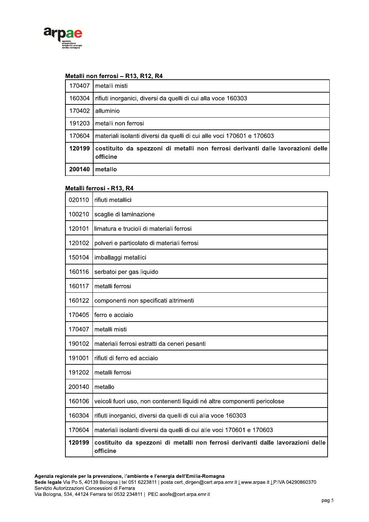

# Metalli non ferrosi - R13, R12, R4

| 170407 | metalli misti                                                                               |
|--------|---------------------------------------------------------------------------------------------|
| 160304 | rifiuti inorganici, diversi da quelli di cui alla voce 160303                               |
| 170402 | alluminio                                                                                   |
| 191203 | metalli non ferrosi                                                                         |
| 170604 | materiali isolanti diversi da quelli di cui alle voci 170601 e 170603                       |
| 120199 | costituito da spezzoni di metalli non ferrosi derivanti dalle lavorazioni delle<br>officine |
| 200140 | metallo                                                                                     |

## Metalli ferrosi - R13, R4

| 020110 | rifiuti metallici                                                                           |
|--------|---------------------------------------------------------------------------------------------|
| 100210 | scaglie di laminazione                                                                      |
| 120101 | limatura e trucioli di materiali ferrosi                                                    |
| 120102 | polveri e particolato di materiali ferrosi                                                  |
| 150104 | imballaggi metallici                                                                        |
| 160116 | serbatoi per gas liquido                                                                    |
| 160117 | metalli ferrosi                                                                             |
| 160122 | componenti non specificati altrimenti                                                       |
| 170405 | ferro e acciaio                                                                             |
| 170407 | metalli misti                                                                               |
| 190102 | materiali ferrosi estratti da ceneri pesanti                                                |
| 191001 | rifiuti di ferro ed acciaio                                                                 |
| 191202 | metalli ferrosi                                                                             |
| 200140 | metallo                                                                                     |
| 160106 | veicoli fuori uso, non contenenti liquidi né altre componenti pericolose                    |
| 160304 | rifiuti inorganici, diversi da quelli di cui alla voce 160303                               |
| 170604 | materiali isolanti diversi da quelli di cui alle voci 170601 e 170603                       |
| 120199 | costituito da spezzoni di metalli non ferrosi derivanti dalle lavorazioni delle<br>officine |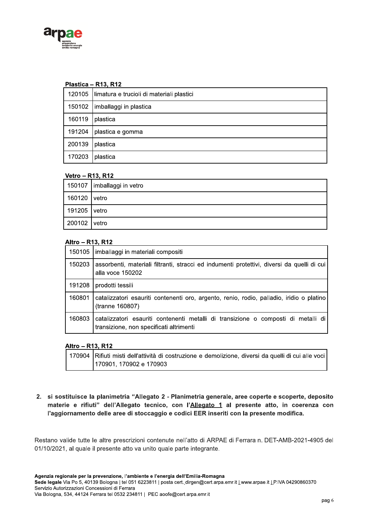

## Plastica - R13, R12

|        | 120105 limatura e trucioli di materiali plastici |
|--------|--------------------------------------------------|
|        | 150102   imballaggi in plastica                  |
| 160119 | <sup>∖</sup> plastica                            |
| 191204 | ∣plastica e gomma                                |
| 200139 | plastica                                         |
| 170203 | plastica                                         |

## Vetro - R13, R12

|              | 150107   imballaggi in vetro |
|--------------|------------------------------|
| 160120 vetro |                              |
| 191205 vetro |                              |
| 200102 vetro |                              |

# Altro - R13, R12

|        | 150105   imballaggi in materiali compositi                                                                                   |
|--------|------------------------------------------------------------------------------------------------------------------------------|
| 150203 | assorbenti, materiali filtranti, stracci ed indumenti protettivi, diversi da quelli di cui<br>alla voce 150202               |
| 191208 | prodotti tessili                                                                                                             |
| 160801 | catalizzatori esauriti contenenti oro, argento, renio, rodio, palladio, iridio o platino<br>(tranne 160807)                  |
| 160803 | catalizzatori esauriti contenenti metalli di transizione o composti di metalli di<br>transizione, non specificati altrimenti |

## Altro - R13, R12

| 170904   Rifiuti misti dell'attività di costruzione e demolizione, diversi da quelli di cui alle voci |
|-------------------------------------------------------------------------------------------------------|
| 170901, 170902 e 170903                                                                               |

2. si sostituisce la planimetria "Allegato 2 - Planimetria generale, aree coperte e scoperte, deposito materie e rifiuti" dell'Allegato tecnico, con l'Allegato 1 al presente atto, in coerenza con l'aggiornamento delle aree di stoccaggio e codici EER inseriti con la presente modifica.

Restano valide tutte le altre prescrizioni contenute nell'atto di ARPAE di Ferrara n. DET-AMB-2021-4905 del 01/10/2021, al quale il presente atto va unito quale parte integrante.

Sede legale Via Po 5, 40139 Bologna | tel 051 6223811 | posta cert. dirgen@cert.arpa.emr.it Lwww.arpae.it LP.IVA 04290860370 Servizio Autorizzazioni Concessioni di Ferrara

Via Bologna, 534, 44124 Ferrara tel 0532 234811 | PEC aoofe@cert.arpa.emr.it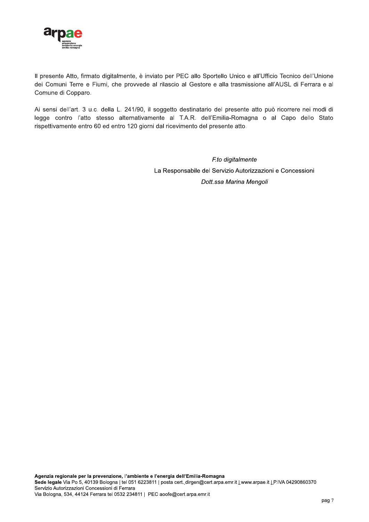

Il presente Atto, firmato digitalmente, è inviato per PEC allo Sportello Unico e all'Ufficio Tecnico dell'Unione dei Comuni Terre e Fiumi, che provvede al rilascio al Gestore e alla trasmissione all'AUSL di Ferrara e al Comune di Copparo.

Ai sensi dell'art. 3 u.c. della L. 241/90, il soggetto destinatario del presente atto può ricorrere nei modi di legge contro l'atto stesso alternativamente al T.A.R. dell'Emilia-Romagna o al Capo dello Stato rispettivamente entro 60 ed entro 120 giorni dal ricevimento del presente atto.

> F.to digitalmente La Responsabile del Servizio Autorizzazioni e Concessioni Dott.ssa Marina Mengoli